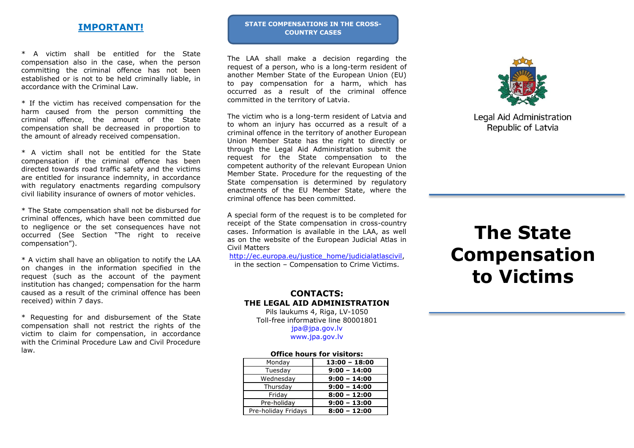## **IMPORTANT!**

\* A victim shall be entitled for the State compensation also in the case, when the person committing the criminal offence has not been established or is not to be held criminally liable, in accordance with the Criminal Law.

\* If the victim has received compensation for the harm caused from the person committing the criminal offence, the amount of the State compensation shall be decreased in proportion to the amount of already received compensation.

\* A victim shall not be entitled for the State compensation if the criminal offence has been directed towards road traffic safety and the victims are entitled for insurance indemnity, in accordance with regulatory enactments regarding compulsory civil liability insurance of owners of motor vehicles.

\* The State compensation shall not be disbursed for criminal offences, which have been committed due to negligence or the set consequences have not occurred (See Section "The right to receive compensation").

\* A victim shall have an obligation to notify the LAA on changes in the information specified in the request (such as the account of the payment institution has changed; compensation for the harm caused as a result of the criminal offence has been received) within 7 days.

\* Requesting for and disbursement of the State compensation shall not restrict the rights of the victim to claim for compensation, in accordance with the Criminal Procedure Law and Civil Procedure law.

#### **STATE COMPENSATIONS IN THE CROSS-COUNTRY CASES**

The LAA shall make a decision regarding the request of a person, who is a long-term resident of another Member State of the European Union (EU) to pay compensation for a harm, which has occurred as a result of the criminal offence committed in the territory of Latvia.

The victim who is a long-term resident of Latvia and to whom an injury has occurred as a result of a criminal offence in the territory of another European Union Member State has the right to directly or through the Legal Aid Administration submit the request for the State compensation to the competent authority of the relevant European Union Member State. Procedure for the requesting of the State compensation is determined by regulatory enactments of the EU Member State, where the criminal offence has been committed.

A special form of the request is to be completed for receipt of the State compensation in cross-country cases. Information is available in the LAA, as well as on the website of the European Judicial Atlas in Civil Matters

[http://ec.europa.eu/justice\\_home/judicialatlascivil,](http://ec.europa.eu/justice_home/judicialatlascivil) in the section – Compensation to Crime Victims.

## **CONTACTS: THE LEGAL AID ADMINISTRATION**

Pils laukums 4, Riga, LV-1050 Toll-free informative line 80001801

[jpa@jpa.gov.lv](mailto:jpa@jpa.gov.lv) [www.jpa.gov.lv](http://www.jpa.gov.lv/)

#### **Office hours for visitors:**

| Monday              | $13:00 - 18:00$ |
|---------------------|-----------------|
| Tuesday             | $9:00 - 14:00$  |
| Wednesday           | $9:00 - 14:00$  |
| Thursday            | $9:00 - 14:00$  |
| Friday              | $8:00 - 12:00$  |
| Pre-holiday         | $9:00 - 13:00$  |
| Pre-holiday Fridays | $8:00 - 12:00$  |



Legal Aid Administration Republic of Latvia

# **The State Compensation to Victims**